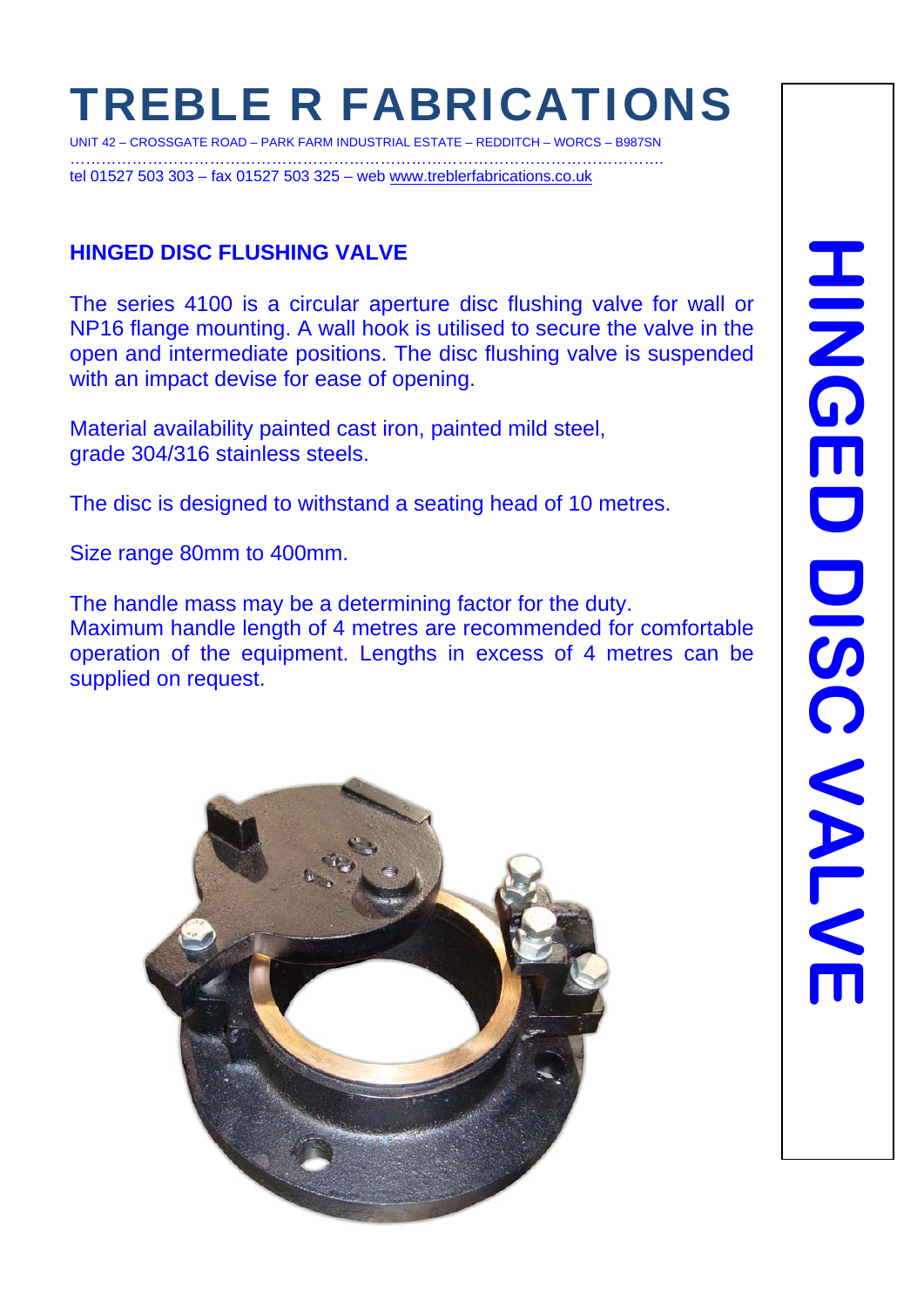# TREBLE R FABRICATIONS

UNIT 42 – CROSSGATE ROAD – PARK FARM INDUSTRIAL ESTATE – REDDITCH – WORCS – B987SN ……………………………………………………………………………………………………. tel 01527 503 303 – fax 01527 503 325 – web www.treblerfabrications.co.uk

#### **HINGED DISC FLUSHING VALVE**

The series 4100 is a circular aperture disc flushing valve for wall or NP16 flange mounting. A wall hook is utilised to secure the valve in the open and intermediate positions. The disc flushing valve is suspended with an impact devise for ease of opening.

Material availability painted cast iron, painted mild steel, grade 304/316 stainless steels.

The disc is designed to withstand a seating head of 10 metres.

Size range 80mm to 400mm.

The handle mass may be a determining factor for the duty. Maximum handle length of 4 metres are recommended for comfortable operation of the equipment. Lengths in excess of 4 metres can be supplied on request.

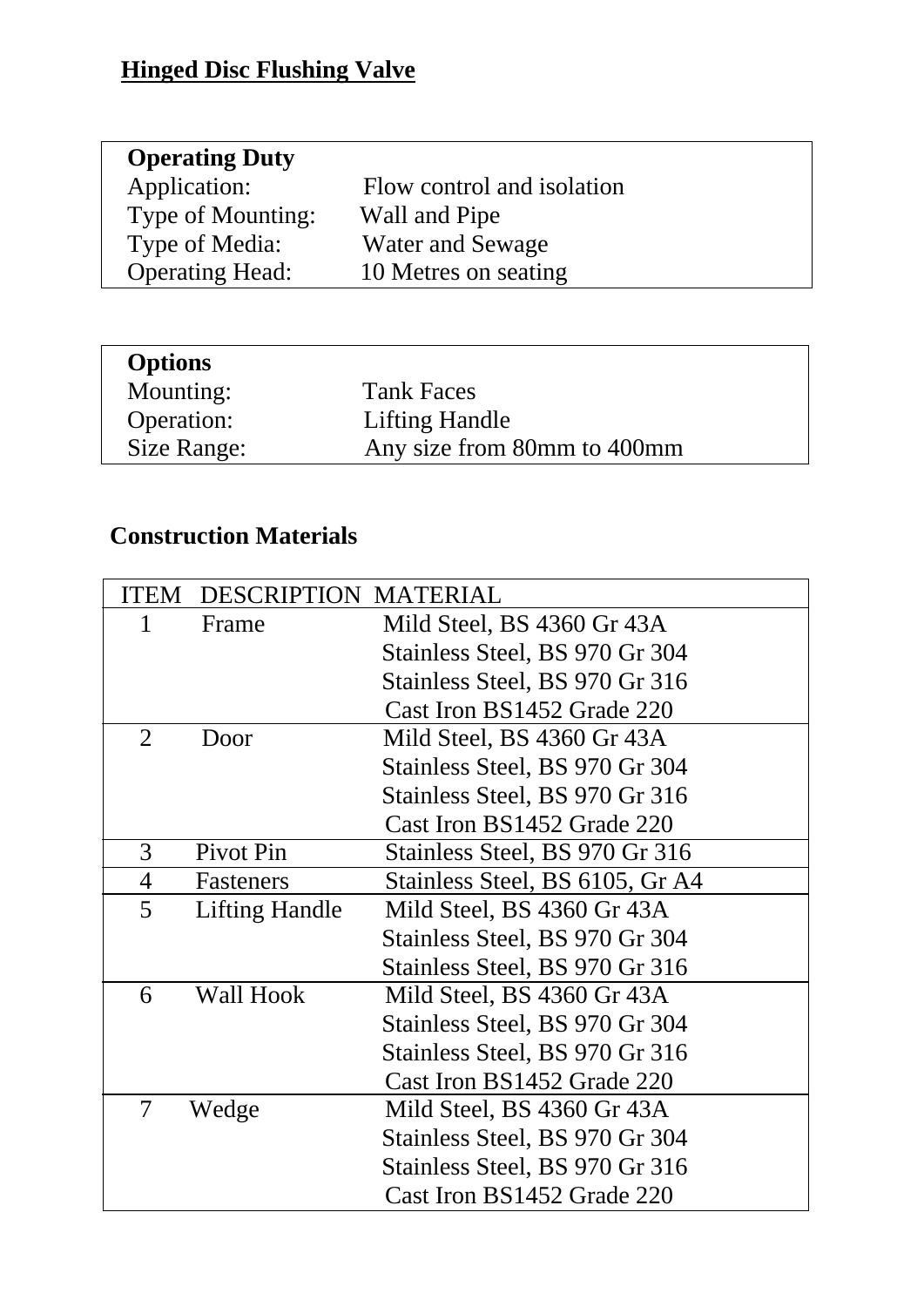## **Hinged Disc Flushing Valve**

| <b>Operating Duty</b>  |                            |
|------------------------|----------------------------|
| Application:           | Flow control and isolation |
| Type of Mounting:      | Wall and Pipe              |
| Type of Media:         | <b>Water and Sewage</b>    |
| <b>Operating Head:</b> | 10 Metres on seating       |
|                        |                            |

| Mounting:<br><b>Tank Faces</b>             |  |
|--------------------------------------------|--|
|                                            |  |
| Operation:<br><b>Lifting Handle</b>        |  |
| Any size from 80mm to 400mm<br>Size Range: |  |

## **Construction Materials**

|                | <b>ITEM DESCRIPTION MATERIAL</b> |                                 |
|----------------|----------------------------------|---------------------------------|
| 1              | Frame                            | Mild Steel, BS 4360 Gr 43A      |
|                |                                  | Stainless Steel, BS 970 Gr 304  |
|                |                                  | Stainless Steel, BS 970 Gr 316  |
|                |                                  | Cast Iron BS1452 Grade 220      |
| $\overline{2}$ | Door                             | Mild Steel, BS 4360 Gr 43A      |
|                |                                  | Stainless Steel, BS 970 Gr 304  |
|                |                                  | Stainless Steel, BS 970 Gr 316  |
|                |                                  | Cast Iron BS1452 Grade 220      |
| 3              | Pivot Pin                        | Stainless Steel, BS 970 Gr 316  |
| $\overline{4}$ | Fasteners                        | Stainless Steel, BS 6105, Gr A4 |
| 5              | Lifting Handle                   | Mild Steel, BS 4360 Gr 43A      |
|                |                                  | Stainless Steel, BS 970 Gr 304  |
|                |                                  | Stainless Steel, BS 970 Gr 316  |
| 6              | <b>Wall Hook</b>                 | Mild Steel, BS 4360 Gr 43A      |
|                |                                  | Stainless Steel, BS 970 Gr 304  |
|                |                                  | Stainless Steel, BS 970 Gr 316  |
|                |                                  | Cast Iron BS1452 Grade 220      |
| $\overline{7}$ | Wedge                            | Mild Steel, BS 4360 Gr 43A      |
|                |                                  | Stainless Steel, BS 970 Gr 304  |
|                |                                  | Stainless Steel, BS 970 Gr 316  |
|                |                                  | Cast Iron BS1452 Grade 220      |